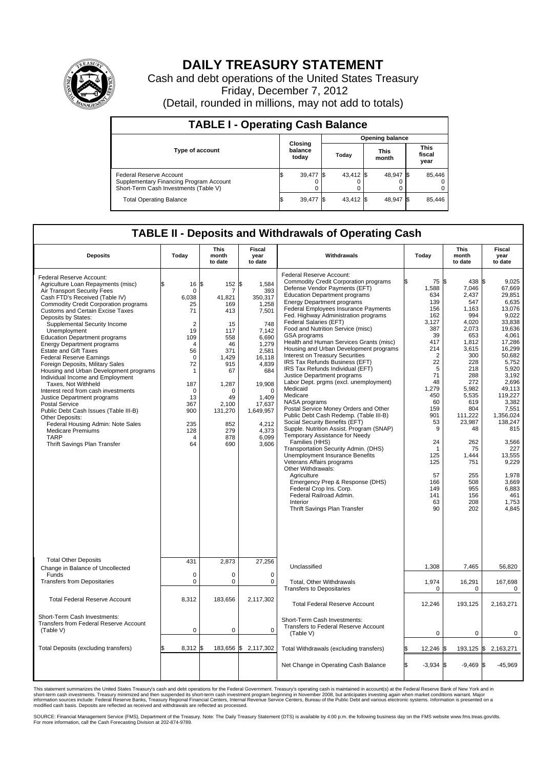

## **DAILY TREASURY STATEMENT**

Cash and debt operations of the United States Treasury Friday, December 7, 2012 (Detail, rounded in millions, may not add to totals)

| <b>TABLE I - Operating Cash Balance</b>                                                                     |  |                             |                        |           |  |                      |  |                               |  |
|-------------------------------------------------------------------------------------------------------------|--|-----------------------------|------------------------|-----------|--|----------------------|--|-------------------------------|--|
|                                                                                                             |  |                             | <b>Opening balance</b> |           |  |                      |  |                               |  |
| <b>Type of account</b>                                                                                      |  | Closing<br>balance<br>today |                        | Today     |  | <b>This</b><br>month |  | <b>This</b><br>fiscal<br>year |  |
| Federal Reserve Account<br>Supplementary Financing Program Account<br>Short-Term Cash Investments (Table V) |  | 39,477 \$                   |                        | 43,412 \$ |  | 48,947 \$            |  | 85,446                        |  |
| <b>Total Operating Balance</b>                                                                              |  | 39,477                      |                        | 43.412 \$ |  | 48.947 \$            |  | 85,446                        |  |

## **TABLE II - Deposits and Withdrawals of Operating Cash**

| <b>Deposits</b>                                                                                                                                                                                                                                                                                                                                                                                                                                                                                                                                                                                                                                                                                                                                                                                                                                                       | Today                                                                                                                                                                           | <b>This</b><br>month<br>to date                                                                                                                             | <b>Fiscal</b><br>year<br>to date                                                                                                                                                                                  | Withdrawals                                                                                                                                                                                                                                                                                                                                                                                                                                                                                                                                                                                                                                                                                                                                                                                                                                                                                                                                                                                                                                                                                                                                                           | Today                                                                                                                                                                                                                                   | <b>This</b><br>month<br>to date                                                                                                                                                                                                                                | <b>Fiscal</b><br>year<br>to date                                                                                                                                                                                                                                                                                  |  |  |  |  |
|-----------------------------------------------------------------------------------------------------------------------------------------------------------------------------------------------------------------------------------------------------------------------------------------------------------------------------------------------------------------------------------------------------------------------------------------------------------------------------------------------------------------------------------------------------------------------------------------------------------------------------------------------------------------------------------------------------------------------------------------------------------------------------------------------------------------------------------------------------------------------|---------------------------------------------------------------------------------------------------------------------------------------------------------------------------------|-------------------------------------------------------------------------------------------------------------------------------------------------------------|-------------------------------------------------------------------------------------------------------------------------------------------------------------------------------------------------------------------|-----------------------------------------------------------------------------------------------------------------------------------------------------------------------------------------------------------------------------------------------------------------------------------------------------------------------------------------------------------------------------------------------------------------------------------------------------------------------------------------------------------------------------------------------------------------------------------------------------------------------------------------------------------------------------------------------------------------------------------------------------------------------------------------------------------------------------------------------------------------------------------------------------------------------------------------------------------------------------------------------------------------------------------------------------------------------------------------------------------------------------------------------------------------------|-----------------------------------------------------------------------------------------------------------------------------------------------------------------------------------------------------------------------------------------|----------------------------------------------------------------------------------------------------------------------------------------------------------------------------------------------------------------------------------------------------------------|-------------------------------------------------------------------------------------------------------------------------------------------------------------------------------------------------------------------------------------------------------------------------------------------------------------------|--|--|--|--|
| Federal Reserve Account:<br>Agriculture Loan Repayments (misc)<br>Air Transport Security Fees<br>Cash FTD's Received (Table IV)<br><b>Commodity Credit Corporation programs</b><br><b>Customs and Certain Excise Taxes</b><br>Deposits by States:<br>Supplemental Security Income<br>Unemployment<br><b>Education Department programs</b><br><b>Energy Department programs</b><br><b>Estate and Gift Taxes</b><br><b>Federal Reserve Earnings</b><br>Foreign Deposits, Military Sales<br>Housing and Urban Development programs<br>Individual Income and Employment<br>Taxes. Not Withheld<br>Interest recd from cash investments<br>Justice Department programs<br><b>Postal Service</b><br>Public Debt Cash Issues (Table III-B)<br>Other Deposits:<br>Federal Housing Admin: Note Sales<br><b>Medicare Premiums</b><br><b>TARP</b><br>Thrift Savings Plan Transfer | 16 S<br>$\mathbf 0$<br>6,038<br>25<br>71<br>$\overline{2}$<br>19<br>109<br>4<br>56<br>$\mathbf 0$<br>72<br>1<br>187<br>$\mathbf 0$<br>13<br>367<br>900<br>235<br>128<br>4<br>64 | 152<br>7<br>41,821<br>169<br>413<br>15<br>117<br>558<br>46<br>371<br>1.429<br>915<br>67<br>1,287<br>0<br>49<br>2.100<br>131,270<br>852<br>279<br>878<br>690 | \$<br>1,584<br>393<br>350,317<br>1,258<br>7,501<br>748<br>7,142<br>6,690<br>1,279<br>2,581<br>16.118<br>4,839<br>684<br>19.908<br>$\mathbf 0$<br>1,409<br>17.637<br>1,649,957<br>4,212<br>4.373<br>6,099<br>3,606 | Federal Reserve Account:<br><b>Commodity Credit Corporation programs</b><br>Defense Vendor Payments (EFT)<br><b>Education Department programs</b><br>Energy Department programs<br>Federal Employees Insurance Payments<br>Fed. Highway Administration programs<br>Federal Salaries (EFT)<br>Food and Nutrition Service (misc)<br>GSA programs<br>Health and Human Services Grants (misc)<br>Housing and Urban Development programs<br>Interest on Treasury Securities<br>IRS Tax Refunds Business (EFT)<br>IRS Tax Refunds Individual (EFT)<br>Justice Department programs<br>Labor Dept. prgms (excl. unemployment)<br>Medicaid<br>Medicare<br>NASA programs<br>Postal Service Money Orders and Other<br>Public Debt Cash Redemp. (Table III-B)<br>Social Security Benefits (EFT)<br>Supple. Nutrition Assist. Program (SNAP)<br>Temporary Assistance for Needy<br>Families (HHS)<br>Transportation Security Admin. (DHS)<br>Unemployment Insurance Benefits<br>Veterans Affairs programs<br>Other Withdrawals:<br>Agriculture<br>Emergency Prep & Response (DHS)<br>Federal Crop Ins. Corp.<br>Federal Railroad Admin.<br>Interior<br>Thrift Savings Plan Transfer | 75 \$<br>1,588<br>634<br>139<br>156<br>162<br>3,127<br>387<br>39<br>417<br>214<br>$\overline{2}$<br>22<br>5<br>71<br>48<br>1,279<br>450<br>60<br>159<br>901<br>53<br>9<br>24<br>-1<br>125<br>125<br>57<br>166<br>149<br>141<br>63<br>90 | 438 S<br>7.046<br>2,437<br>547<br>1,163<br>994<br>4,020<br>2,073<br>653<br>1,812<br>3.615<br>300<br>228<br>218<br>288<br>272<br>5,982<br>5,535<br>619<br>804<br>111,222<br>23,987<br>48<br>262<br>75<br>1,444<br>751<br>255<br>508<br>955<br>156<br>208<br>202 | 9,025<br>67.669<br>29,851<br>6.635<br>13,076<br>9,022<br>33,838<br>19,636<br>4,061<br>17,286<br>16.299<br>50,682<br>5,752<br>5.920<br>3,192<br>2,696<br>49,113<br>119,227<br>3,382<br>7,551<br>1.356.024<br>138,247<br>815<br>3,566<br>227<br>13.555<br>9,229<br>1,978<br>3,669<br>6,883<br>461<br>1,753<br>4.845 |  |  |  |  |
| <b>Total Other Deposits</b><br>Change in Balance of Uncollected<br>Funds                                                                                                                                                                                                                                                                                                                                                                                                                                                                                                                                                                                                                                                                                                                                                                                              | 431<br>$\mathbf 0$                                                                                                                                                              | 2,873<br>$\mathbf 0$                                                                                                                                        | 27,256<br>$\mathbf 0$                                                                                                                                                                                             | Unclassified                                                                                                                                                                                                                                                                                                                                                                                                                                                                                                                                                                                                                                                                                                                                                                                                                                                                                                                                                                                                                                                                                                                                                          | 1,308                                                                                                                                                                                                                                   | 7,465                                                                                                                                                                                                                                                          | 56,820                                                                                                                                                                                                                                                                                                            |  |  |  |  |
| <b>Transfers from Depositaries</b>                                                                                                                                                                                                                                                                                                                                                                                                                                                                                                                                                                                                                                                                                                                                                                                                                                    | $\mathbf 0$                                                                                                                                                                     | 0                                                                                                                                                           | $\mathsf 0$                                                                                                                                                                                                       | Total, Other Withdrawals<br><b>Transfers to Depositaries</b>                                                                                                                                                                                                                                                                                                                                                                                                                                                                                                                                                                                                                                                                                                                                                                                                                                                                                                                                                                                                                                                                                                          | 1,974<br>$\mathbf 0$                                                                                                                                                                                                                    | 16,291<br>$\mathbf 0$                                                                                                                                                                                                                                          | 167,698<br>0                                                                                                                                                                                                                                                                                                      |  |  |  |  |
| <b>Total Federal Reserve Account</b>                                                                                                                                                                                                                                                                                                                                                                                                                                                                                                                                                                                                                                                                                                                                                                                                                                  | 8,312                                                                                                                                                                           | 183,656                                                                                                                                                     | 2,117,302                                                                                                                                                                                                         | <b>Total Federal Reserve Account</b>                                                                                                                                                                                                                                                                                                                                                                                                                                                                                                                                                                                                                                                                                                                                                                                                                                                                                                                                                                                                                                                                                                                                  | 12,246                                                                                                                                                                                                                                  | 193,125                                                                                                                                                                                                                                                        | 2,163,271                                                                                                                                                                                                                                                                                                         |  |  |  |  |
| Short-Term Cash Investments:<br>Transfers from Federal Reserve Account<br>(Table V)                                                                                                                                                                                                                                                                                                                                                                                                                                                                                                                                                                                                                                                                                                                                                                                   | $\mathbf 0$                                                                                                                                                                     | $\mathbf 0$                                                                                                                                                 | $\mathbf 0$                                                                                                                                                                                                       | Short-Term Cash Investments:<br>Transfers to Federal Reserve Account<br>(Table V)                                                                                                                                                                                                                                                                                                                                                                                                                                                                                                                                                                                                                                                                                                                                                                                                                                                                                                                                                                                                                                                                                     | $\mathbf 0$                                                                                                                                                                                                                             | 0                                                                                                                                                                                                                                                              | 0                                                                                                                                                                                                                                                                                                                 |  |  |  |  |
| Total Deposits (excluding transfers)                                                                                                                                                                                                                                                                                                                                                                                                                                                                                                                                                                                                                                                                                                                                                                                                                                  | $8,312$ \$                                                                                                                                                                      |                                                                                                                                                             | 183,656 \$2,117,302                                                                                                                                                                                               | Total Withdrawals (excluding transfers)                                                                                                                                                                                                                                                                                                                                                                                                                                                                                                                                                                                                                                                                                                                                                                                                                                                                                                                                                                                                                                                                                                                               | 12,246 \$                                                                                                                                                                                                                               |                                                                                                                                                                                                                                                                | 193,125 \$2,163,271                                                                                                                                                                                                                                                                                               |  |  |  |  |
|                                                                                                                                                                                                                                                                                                                                                                                                                                                                                                                                                                                                                                                                                                                                                                                                                                                                       |                                                                                                                                                                                 |                                                                                                                                                             |                                                                                                                                                                                                                   | Net Change in Operating Cash Balance                                                                                                                                                                                                                                                                                                                                                                                                                                                                                                                                                                                                                                                                                                                                                                                                                                                                                                                                                                                                                                                                                                                                  | S.<br>$-3,934$ \$                                                                                                                                                                                                                       | $-9,469$ \$                                                                                                                                                                                                                                                    | $-45,969$                                                                                                                                                                                                                                                                                                         |  |  |  |  |

This statement summarizes the United States Treasury's cash and debt operations for the Federal Government. Treasury's operating cash is maintained in account(s) at the Federal Reserve Bank of New York and in<br>short-term ca

SOURCE: Financial Management Service (FMS), Department of the Treasury. Note: The Daily Treasury Statement (DTS) is available by 4:00 p.m. the following business day on the FMS website www.fms.treas.gov/dts.<br>For more infor